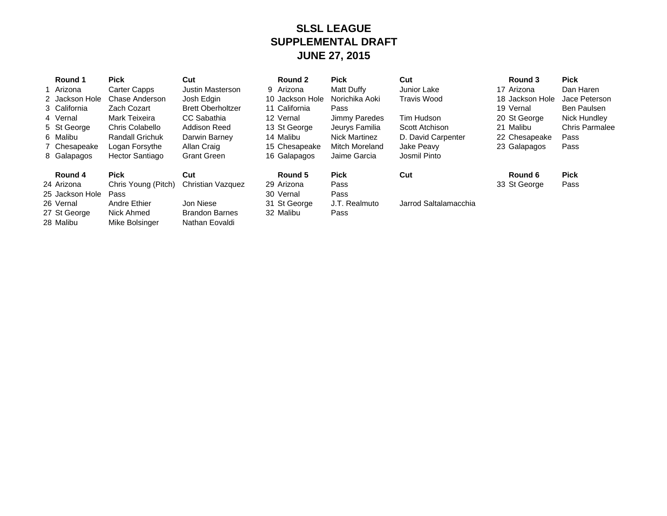## **SLSL LEAGUE SUPPLEMENTAL DRAFT JUNE 27, 2015**

| Round 1<br>1 Arizona<br>2 Jackson Hole<br>3 California<br>4 Vernal<br>5 St George<br>6 Malibu<br>7 Chesapeake<br>8 Galapagos | Pick<br>Carter Capps<br>Chase Anderson<br>Zach Cozart<br>Mark Teixeira<br>Chris Colabello<br><b>Randall Grichuk</b><br>Logan Forsythe<br>Hector Santiago | Cut<br>Justin Masterson<br>Josh Edgin<br><b>Brett Oberholtzer</b><br>CC Sabathia<br>Addison Reed<br>Darwin Barney<br>Allan Craig<br><b>Grant Green</b> | Round 2<br>9 Arizona<br>10 Jackson Hole<br>11 California<br>12 Vernal<br>13 St George<br>14 Malibu<br>15 Chesapeake<br>16 Galapagos | <b>Pick</b><br>Matt Duffy<br>Norichika Aoki<br>Pass<br>Jimmy Paredes<br>Jeurys Familia<br>Nick Martinez<br><b>Mitch Moreland</b><br>Jaime Garcia | Cut<br>Junior Lake<br><b>Travis Wood</b><br>Tim Hudson<br>Scott Atchison<br>D. David Carpenter<br>Jake Peavy<br>Josmil Pinto | Round 3<br>17 Arizona<br>18 Jackson Hole<br>19 Vernal<br>20 St George<br>21 Malibu<br>22 Chesapeake<br>23 Galapagos | <b>Pick</b><br>Dan Haren<br>Jace Peterson<br><b>Ben Paulsen</b><br>Nick Hundley<br><b>Chris Parmalee</b><br>Pass<br>Pass |
|------------------------------------------------------------------------------------------------------------------------------|----------------------------------------------------------------------------------------------------------------------------------------------------------|--------------------------------------------------------------------------------------------------------------------------------------------------------|-------------------------------------------------------------------------------------------------------------------------------------|--------------------------------------------------------------------------------------------------------------------------------------------------|------------------------------------------------------------------------------------------------------------------------------|---------------------------------------------------------------------------------------------------------------------|--------------------------------------------------------------------------------------------------------------------------|
| Round 4<br>24 Arizona<br>25 Jackson Hole<br>26 Vernal<br>27 St George<br>28 Malibu                                           | <b>Pick</b><br>Chris Young (Pitch)<br>Pass<br>Andre Ethier<br>Nick Ahmed<br>Mike Bolsinger                                                               | Cut<br>Christian Vazquez<br>Jon Niese<br><b>Brandon Barnes</b><br>Nathan Eovaldi                                                                       | Round 5<br>29 Arizona<br>30 Vernal<br>31 St George<br>32 Malibu                                                                     | <b>Pick</b><br>Pass<br>Pass<br>J.T. Realmuto<br>Pass                                                                                             | Cut<br>Jarrod Saltalamacchia                                                                                                 | Round 6<br>33 St George                                                                                             | <b>Pick</b><br>Pass                                                                                                      |